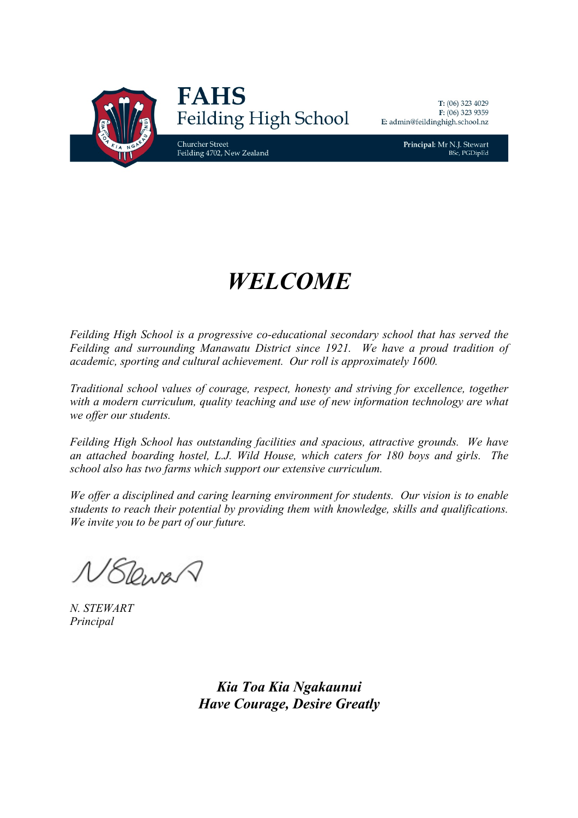

Principal: Mr N.J. Stewart **BSc, PGDipEd** 

# *WELCOME*

*Feilding High School is a progressive co-educational secondary school that has served the Feilding and surrounding Manawatu District since 1921. We have a proud tradition of academic, sporting and cultural achievement. Our roll is approximately 1600.*

*Traditional school values of courage, respect, honesty and striving for excellence, together with a modern curriculum, quality teaching and use of new information technology are what we offer our students.*

*Feilding High School has outstanding facilities and spacious, attractive grounds. We have an attached boarding hostel, L.J. Wild House, which caters for 180 boys and girls. The school also has two farms which support our extensive curriculum.*

*We offer a disciplined and caring learning environment for students. Our vision is to enable students to reach their potential by providing them with knowledge, skills and qualifications. We invite you to be part of our future.*

NELewar

*N. STEWART Principal*

*Kia Toa Kia Ngakaunui Have Courage, Desire Greatly*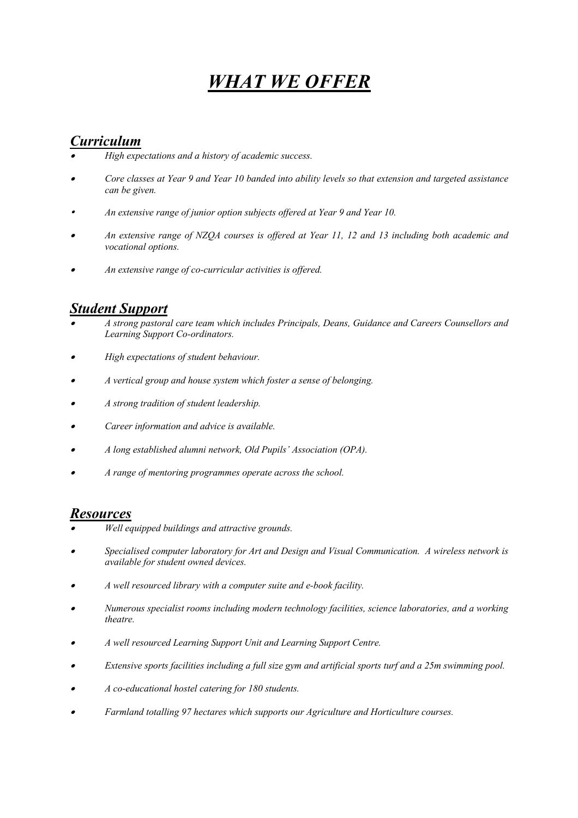## *WHAT WE OFFER*

### *Curriculum*

- •*High expectations and a history of academic success.*
- • *Core classes at Year 9 and Year 10 banded into ability levels so that extension and targeted assistance can be given.*
- . *An extensive range of junior option subjects offered at Year 9 and Year 10.*
- • *An extensive range of NZQA courses is offered at Year 11, 12 and 13 including both academic and vocational options.*
- •*An extensive range of co-curricular activities is offered.*

### *Student Support*

- • *A strong pastoral care team which includes Principals, Deans, Guidance and Careers Counsellors and Learning Support Co-ordinators.*
- •*High expectations of student behaviour.*
- •*A vertical group and house system which foster a sense of belonging.*
- •*A strong tradition of student leadership.*
- •*Career information and advice is available.*
- •*A long established alumni network, Old Pupils' Association (OPA).*
- •*A range of mentoring programmes operate across the school.*

### *Resources*

- •*Well equipped buildings and attractive grounds.*
- • *Specialised computer laboratory for Art and Design and Visual Communication. A wireless network is available for student owned devices.*
- •*A well resourced library with a computer suite and e-book facility.*
- • *Numerous specialist rooms including modern technology facilities, science laboratories, and a working theatre.*
- •*A well resourced Learning Support Unit and Learning Support Centre.*
- •*Extensive sports facilities including a full size gym and artificial sports turf and a 25m swimming pool.*
- •*A co-educational hostel catering for 180 students.*
- •*Farmland totalling 97 hectares which supports our Agriculture and Horticulture courses.*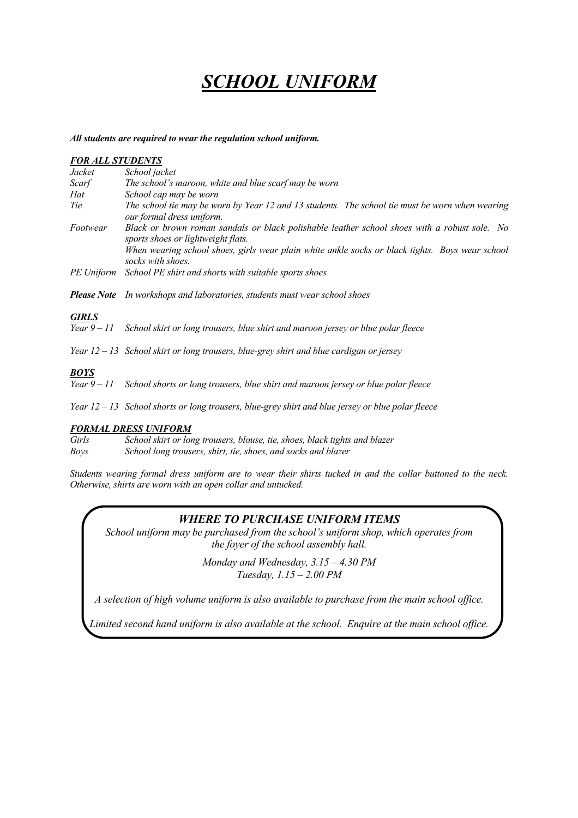### *SCHOOL UNIFORM*

#### *All students are required to wear the regulation school uniform.*

### *FOR ALL STUDENTS Jacket School jacket Scarf The school's maroon, white and blue scarf may be worn Hat School cap may be worn Tie The school tie may be worn by Year 12 and 13 students. The school tie must be worn when wearing our formal dress uniform. Footwear Black or brown roman sandals or black polishable leather school shoes with a robust sole. No sports shoes or lightweight flats. When wearing school shoes, girls wear plain white ankle socks or black tights. Boys wear school socks with shoes. PE Uniform School PE shirt and shorts with suitable sports shoes Please Note In workshops and laboratories, students must wear school shoes GIRLS Year 9 – 11 School skirt or long trousers, blue shirt and maroon jersey or blue polar fleece Year 12 – 13 School skirt or long trousers, blue-grey shirt and blue cardigan or jersey BOYS Year 9 – 11 School shorts or long trousers, blue shirt and maroon jersey or blue polar fleece*

*Year 12 – 13 School shorts or long trousers, blue-grey shirt and blue jersey or blue polar fleece*

#### *FORMAL DRESS UNIFORM*

*Girls School skirt or long trousers, blouse, tie, shoes, black tights and blazer Boys School long trousers, shirt, tie, shoes, and socks and blazer*

*Students wearing formal dress uniform are to wear their shirts tucked in and the collar buttoned to the neck. Otherwise, shirts are worn with an open collar and untucked.*

#### *WHERE TO PURCHASE UNIFORM ITEMS*

*School uniform may be purchased from the school's uniform shop, which operates from the foyer of the school assembly hall.*

> *Monday and Wednesday, 3.15 – 4.30 PM Tuesday, 1.15 – 2.00 PM*

*A selection of high volume uniform is also available to purchase from the main school office.*

*Limited second hand uniform is also available at the school. Enquire at the main school office.*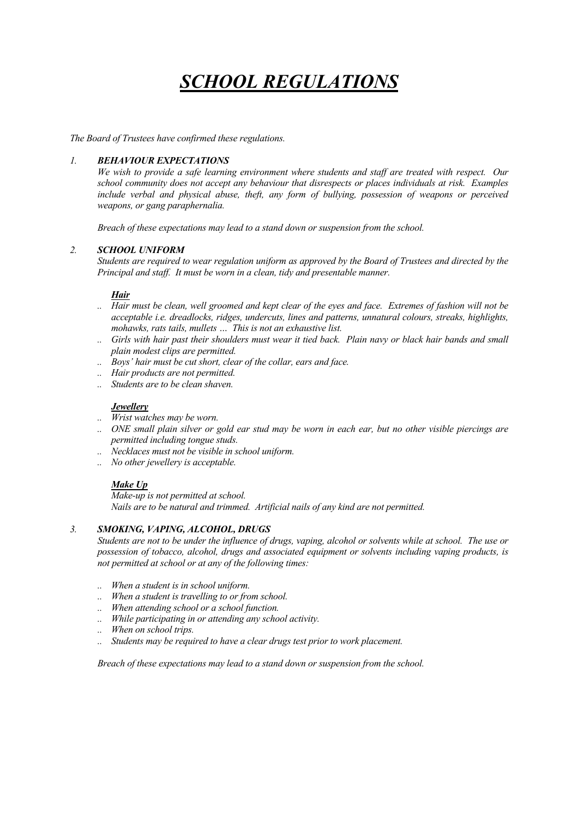## *SCHOOL REGULATIONS*

*The Board of Trustees have confirmed these regulations.* 

#### *1. BEHAVIOUR EXPECTATIONS*

*We wish to provide a safe learning environment where students and staff are treated with respect. Our school community does not accept any behaviour that disrespects or places individuals at risk. Examples include verbal and physical abuse, theft, any form of bullying, possession of weapons or perceived weapons, or gang paraphernalia.*

*Breach of these expectations may lead to a stand down or suspension from the school.*

#### *2. SCHOOL UNIFORM*

*Students are required to wear regulation uniform as approved by the Board of Trustees and directed by the Principal and staff. It must be worn in a clean, tidy and presentable manner.*

#### *Hair*

- *.. Hair must be clean, well groomed and kept clear of the eyes and face. Extremes of fashion will not be acceptable i.e. dreadlocks, ridges, undercuts, lines and patterns, unnatural colours, streaks, highlights, mohawks, rats tails, mullets … This is not an exhaustive list.*
- *.. Girls with hair past their shoulders must wear it tied back. Plain navy or black hair bands and small plain modest clips are permitted.*
- *.. Boys' hair must be cut short, clear of the collar, ears and face.*
- *.. Hair products are not permitted.*
- *.. Students are to be clean shaven.*

#### *Jewellery*

- *.. Wrist watches may be worn.*
- *.. ONE small plain silver or gold ear stud may be worn in each ear, but no other visible piercings are permitted including tongue studs.*
- *.. Necklaces must not be visible in school uniform.*
- *.. No other jewellery is acceptable.*

#### *Make Up*

*Make-up is not permitted at school. Nails are to be natural and trimmed. Artificial nails of any kind are not permitted.*

#### *3. SMOKING, VAPING, ALCOHOL, DRUGS*

*Students are not to be under the influence of drugs, vaping, alcohol or solvents while at school. The use or possession of tobacco, alcohol, drugs and associated equipment or solvents including vaping products, is not permitted at school or at any of the following times:*

- *.. When a student is in school uniform.*
- *.. When a student is travelling to or from school.*
- *.. When attending school or a school function.*
- *.. While participating in or attending any school activity.*
- *.. When on school trips.*
- *.. Students may be required to have a clear drugs test prior to work placement.*

*Breach of these expectations may lead to a stand down or suspension from the school.*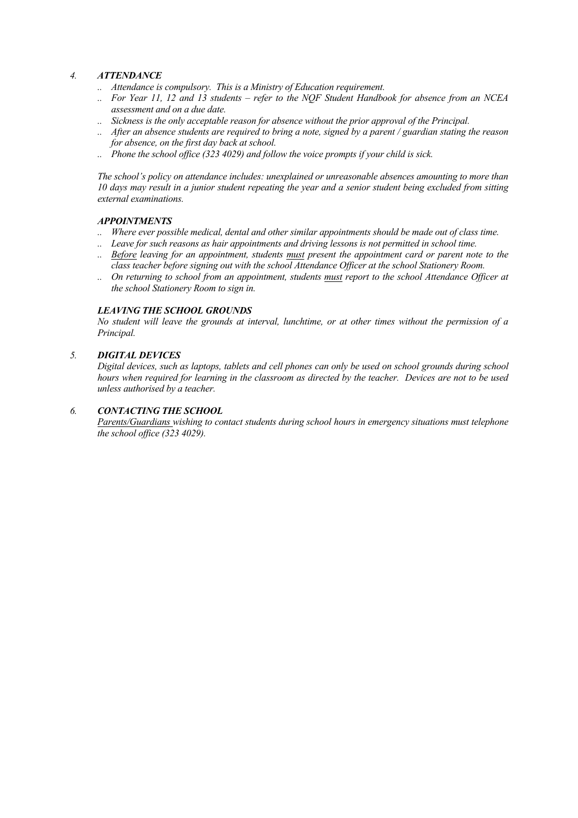#### *4. ATTENDANCE*

- *.. Attendance is compulsory. This is a Ministry of Education requirement.*
- *.. For Year 11, 12 and 13 students – refer to the NQF Student Handbook for absence from an NCEA assessment and on a due date.*
- *.. Sickness is the only acceptable reason for absence without the prior approval of the Principal.*
- *.. After an absence students are required to bring a note, signed by a parent / guardian stating the reason for absence, on the first day back at school.*
- *.. Phone the school office (323 4029) and follow the voice prompts if your child is sick.*

*The school's policy on attendance includes: unexplained or unreasonable absences amounting to more than 10 days may result in a junior student repeating the year and a senior student being excluded from sitting external examinations.*

#### *APPOINTMENTS*

- *.. Where ever possible medical, dental and other similar appointments should be made out of class time.*
- *.. Leave for such reasons as hair appointments and driving lessons is not permitted in school time.*
- *.. Before leaving for an appointment, students must present the appointment card or parent note to the class teacher before signing out with the school Attendance Officer at the school Stationery Room.*
- *.. On returning to school from an appointment, students must report to the school Attendance Officer at the school Stationery Room to sign in.*

#### *LEAVING THE SCHOOL GROUNDS*

*No student will leave the grounds at interval, lunchtime, or at other times without the permission of a Principal.*

#### *5. DIGITAL DEVICES*

*Digital devices, such as laptops, tablets and cell phones can only be used on school grounds during school hours when required for learning in the classroom as directed by the teacher. Devices are not to be used unless authorised by a teacher.*

#### *6. CONTACTING THE SCHOOL*

*Parents/Guardians wishing to contact students during school hours in emergency situations must telephone the school office (323 4029).*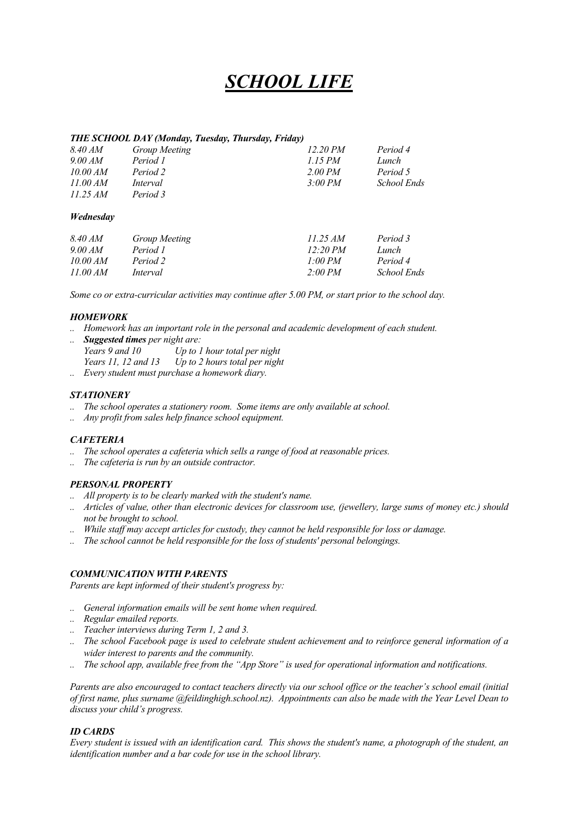### *SCHOOL LIFE*

#### *THE SCHOOL DAY (Monday, Tuesday, Thursday, Friday)*

| 8.40 AM  | Group Meeting | 12.20 P M | Period 4    |
|----------|---------------|-----------|-------------|
| 9.00 AM  | Period 1      | 1.15 PM   | Lunch       |
| 10.00 AM | Period 2      | 2.00 PM   | Period 5    |
| 11.00 AM | Interval      | 3:00 PM   | School Ends |
| 11.25 AM | Period 3      |           |             |

#### *Wednesday*

| 8.40 AM  | Group Meeting | 11.25 AM | Period 3    |
|----------|---------------|----------|-------------|
| 9.00 AM  | Period 1      | 12:20 PM | Lunch       |
| 10.00 AM | Period 2      | 1.00 PM  | Period 4    |
| 11.00 AM | Interval      | 2:00 PM  | School Ends |

*Some co or extra-curricular activities may continue after 5.00 PM, or start prior to the school day.*

#### *HOMEWORK*

- *.. Homework has an important role in the personal and academic development of each student.*
- *.. Suggested times per night are: Years 9 and 10 Up to 1 hour total per night Years 11, 12 and 13 Up to 2 hours total per night*
- *.. Every student must purchase a homework diary.*

#### *STATIONERY*

- *.. The school operates a stationery room. Some items are only available at school.*
- *.. Any profit from sales help finance school equipment.*

#### *CAFETERIA*

- *.. The school operates a cafeteria which sells a range of food at reasonable prices.*
- *.. The cafeteria is run by an outside contractor.*

#### *PERSONAL PROPERTY*

- *.. All property is to be clearly marked with the student's name.*
- *.. Articles of value, other than electronic devices for classroom use, (jewellery, large sums of money etc.) should not be brought to school.*
- *.. While staff may accept articles for custody, they cannot be held responsible for loss or damage.*
- *.. The school cannot be held responsible for the loss of students' personal belongings.*

#### *COMMUNICATION WITH PARENTS*

*Parents are kept informed of their student's progress by:*

- *.. General information emails will be sent home when required.*
- *.. Regular emailed reports.*
- *.. Teacher interviews during Term 1, 2 and 3.*
- *.. The school Facebook page is used to celebrate student achievement and to reinforce general information of a wider interest to parents and the community.*
- *.. The school app, available free from the "App Store" is used for operational information and notifications.*

*Parents are also encouraged to contact teachers directly via our school office or the teacher's school email (initial of first name, plus surname @feildinghigh.school.nz). Appointments can also be made with the Year Level Dean to discuss your child's progress.*

#### *ID CARDS*

*Every student is issued with an identification card. This shows the student's name, a photograph of the student, an identification number and a bar code for use in the school library.*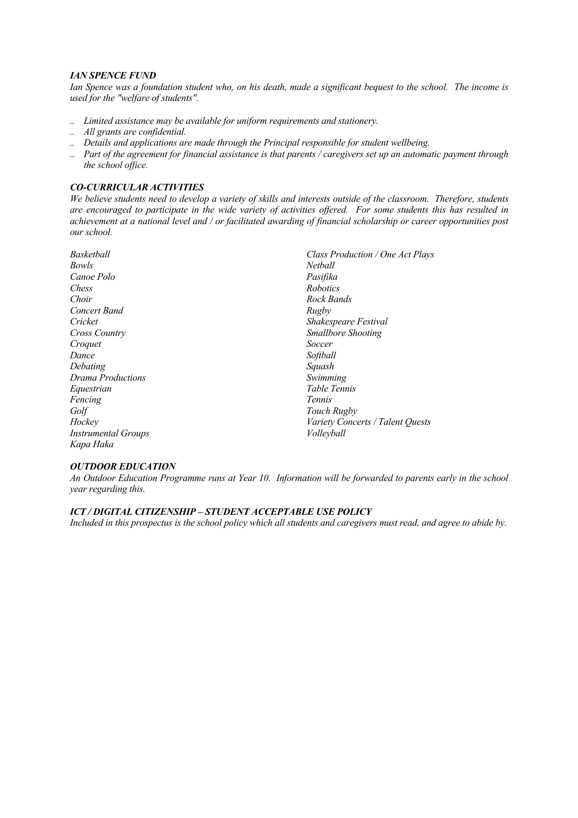#### *IAN SPENCE FUND*

*Ian Spence was a foundation student who, on his death, made a significant bequest to the school. The income is used for the "welfare of students".*

- *.. Limited assistance may be available for uniform requirements and stationery.*
- *.. All grants are confidential.*
- *.. Details and applications are made through the Principal responsible for student wellbeing.*
- *.. Part of the agreement for financial assistance is that parents / caregivers set up an automatic payment through the school office.*

#### *CO-CURRICULAR ACTIVITIES*

*We believe students need to develop a variety of skills and interests outside of the classroom. Therefore, students are encouraged to participate in the wide variety of activities offered. For some students this has resulted in achievement at a national level and / or facilitated awarding of financial scholarship or career opportunities post our school.*

| Basketball                 | Class Production / One Act Plays   |
|----------------------------|------------------------------------|
| Bowls                      | Netball                            |
| Canoe Polo                 | Pasifika                           |
| Chess                      | <b>Robotics</b>                    |
| Choir                      | Rock Bands                         |
| Concert Band               | Rugby                              |
| Cricket                    | <i><b>Shakespeare Festival</b></i> |
| Cross Country              | <b>Smallbore Shooting</b>          |
| Croquet                    | Soccer                             |
| Dance                      | Softball                           |
| Debating                   | Squash                             |
| Drama Productions          | Swimming                           |
| Equestrian                 | Table Tennis                       |
| Fencing                    | <i>Tennis</i>                      |
| Golf                       | Touch Rugby                        |
| Hockey                     | Variety Concerts / Talent Quests   |
| <b>Instrumental Groups</b> | Volleyball                         |
| Kapa Haka                  |                                    |

#### *OUTDOOR EDUCATION*

*An Outdoor Education Programme runs at Year 10. Information will be forwarded to parents early in the school year regarding this.*

#### *ICT / DIGITAL CITIZENSHIP – STUDENT ACCEPTABLE USE POLICY*

*Included in this prospectus is the school policy which all students and caregivers must read, and agree to abide by.*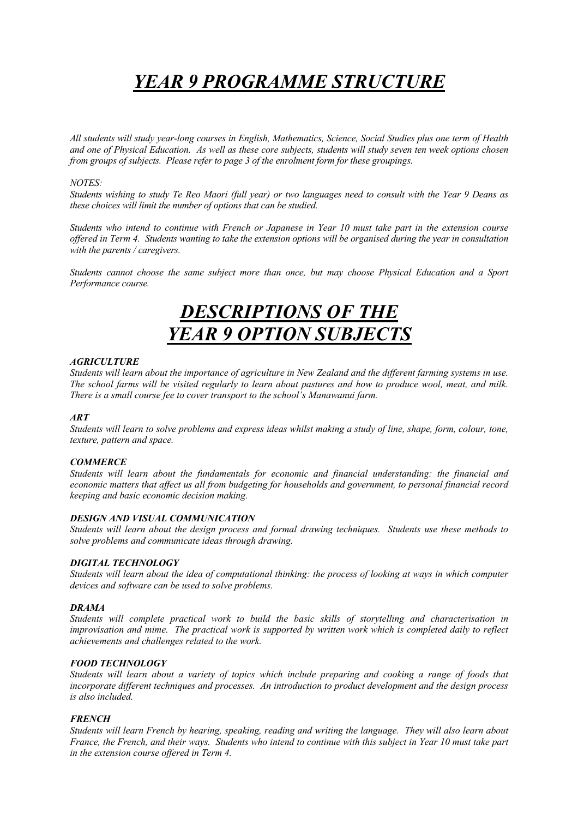## *YEAR 9 PROGRAMME STRUCTURE*

*All students will study year-long courses in English, Mathematics, Science, Social Studies plus one term of Health and one of Physical Education. As well as these core subjects, students will study seven ten week options chosen from groups of subjects. Please refer to page 3 of the enrolment form for these groupings.*

#### *NOTES:*

*Students wishing to study Te Reo Maori (full year) or two languages need to consult with the Year 9 Deans as these choices will limit the number of options that can be studied.*

*Students who intend to continue with French or Japanese in Year 10 must take part in the extension course offered in Term 4. Students wanting to take the extension options will be organised during the year in consultation with the parents / caregivers.*

*Students cannot choose the same subject more than once, but may choose Physical Education and a Sport Performance course.*

### *DESCRIPTIONS OF THE YEAR 9 OPTION SUBJECTS*

#### *AGRICULTURE*

*Students will learn about the importance of agriculture in New Zealand and the different farming systems in use. The school farms will be visited regularly to learn about pastures and how to produce wool, meat, and milk. There is a small course fee to cover transport to the school's Manawanui farm.*

#### *ART*

*Students will learn to solve problems and express ideas whilst making a study of line, shape, form, colour, tone, texture, pattern and space.*

#### *COMMERCE*

*Students will learn about the fundamentals for economic and financial understanding: the financial and economic matters that affect us all from budgeting for households and government, to personal financial record keeping and basic economic decision making.*

#### *DESIGN AND VISUAL COMMUNICATION*

*Students will learn about the design process and formal drawing techniques. Students use these methods to solve problems and communicate ideas through drawing.*

#### *DIGITAL TECHNOLOGY*

*Students will learn about the idea of computational thinking: the process of looking at ways in which computer devices and software can be used to solve problems.*

#### *DRAMA*

*Students will complete practical work to build the basic skills of storytelling and characterisation in improvisation and mime. The practical work is supported by written work which is completed daily to reflect achievements and challenges related to the work.*

#### *FOOD TECHNOLOGY*

*Students will learn about a variety of topics which include preparing and cooking a range of foods that incorporate different techniques and processes. An introduction to product development and the design process is also included.*

#### *FRENCH*

*Students will learn French by hearing, speaking, reading and writing the language. They will also learn about France, the French, and their ways. Students who intend to continue with this subject in Year 10 must take part in the extension course offered in Term 4.*